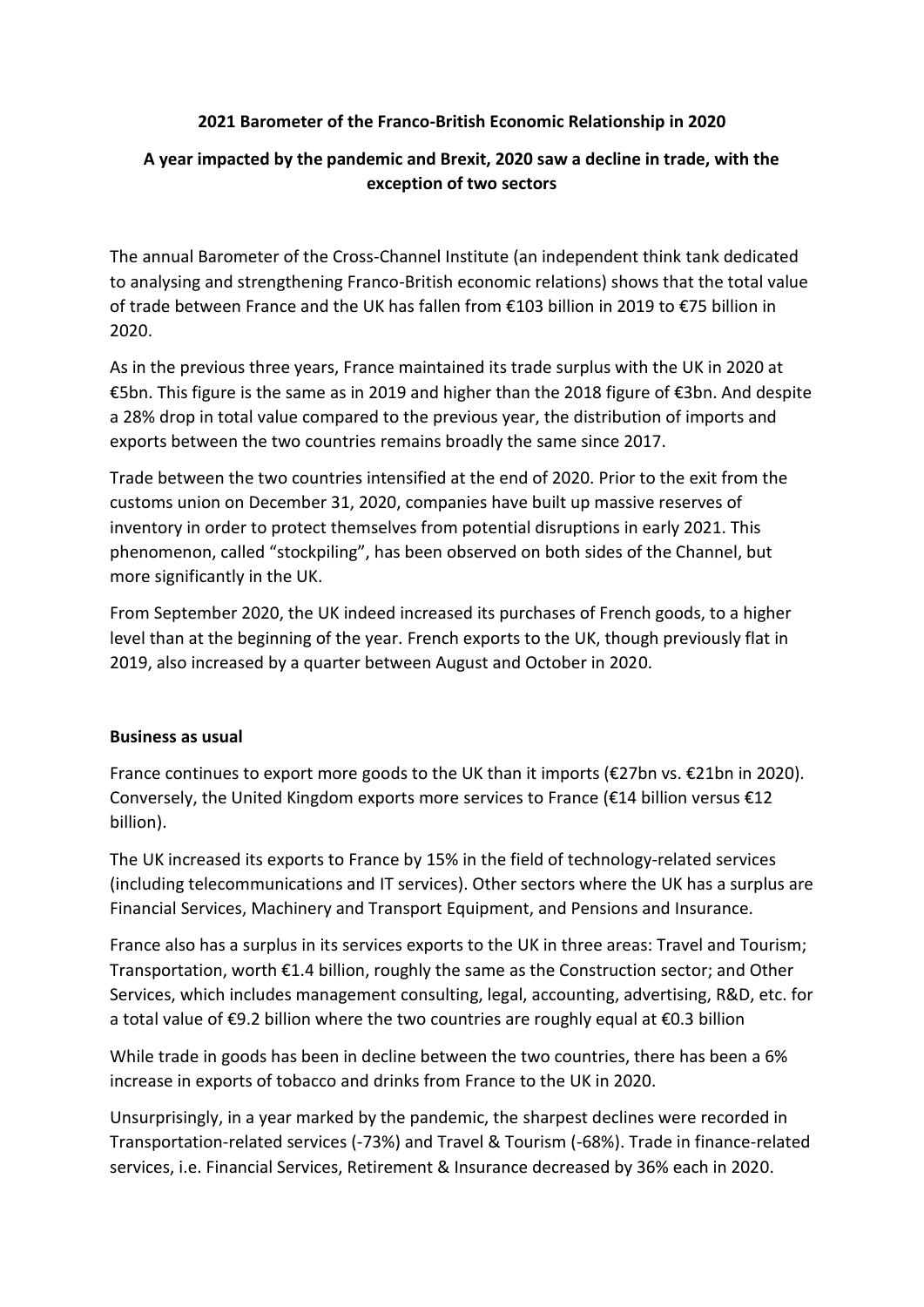## **2021 Barometer of the Franco-British Economic Relationship in 2020**

## **A year impacted by the pandemic and Brexit, 2020 saw a decline in trade, with the exception of two sectors**

The annual Barometer of the Cross-Channel Institute (an independent think tank dedicated to analysing and strengthening Franco-British economic relations) shows that the total value of trade between France and the UK has fallen from €103 billion in 2019 to €75 billion in 2020.

As in the previous three years, France maintained its trade surplus with the UK in 2020 at €5bn. This figure is the same as in 2019 and higher than the 2018 figure of €3bn. And despite a 28% drop in total value compared to the previous year, the distribution of imports and exports between the two countries remains broadly the same since 2017.

Trade between the two countries intensified at the end of 2020. Prior to the exit from the customs union on December 31, 2020, companies have built up massive reserves of inventory in order to protect themselves from potential disruptions in early 2021. This phenomenon, called "stockpiling", has been observed on both sides of the Channel, but more significantly in the UK.

From September 2020, the UK indeed increased its purchases of French goods, to a higher level than at the beginning of the year. French exports to the UK, though previously flat in 2019, also increased by a quarter between August and October in 2020.

## **Business as usual**

France continues to export more goods to the UK than it imports (€27bn vs. €21bn in 2020). Conversely, the United Kingdom exports more services to France ( $\epsilon$ 14 billion versus  $\epsilon$ 12 billion).

The UK increased its exports to France by 15% in the field of technology-related services (including telecommunications and IT services). Other sectors where the UK has a surplus are Financial Services, Machinery and Transport Equipment, and Pensions and Insurance.

France also has a surplus in its services exports to the UK in three areas: Travel and Tourism; Transportation, worth €1.4 billion, roughly the same as the Construction sector; and Other Services, which includes management consulting, legal, accounting, advertising, R&D, etc. for a total value of €9.2 billion where the two countries are roughly equal at €0.3 billion

While trade in goods has been in decline between the two countries, there has been a 6% increase in exports of tobacco and drinks from France to the UK in 2020.

Unsurprisingly, in a year marked by the pandemic, the sharpest declines were recorded in Transportation-related services (-73%) and Travel & Tourism (-68%). Trade in finance-related services, i.e. Financial Services, Retirement & Insurance decreased by 36% each in 2020.